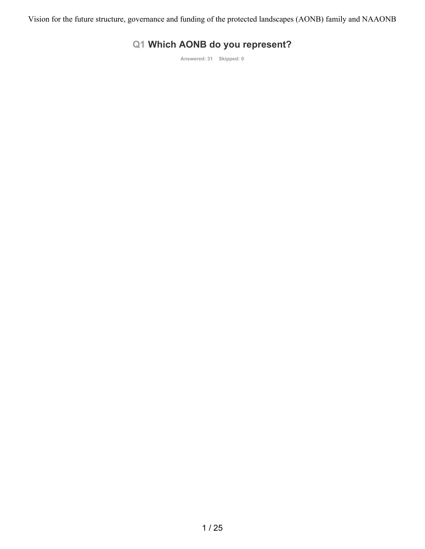## **Q1 Which AONB do you represent?**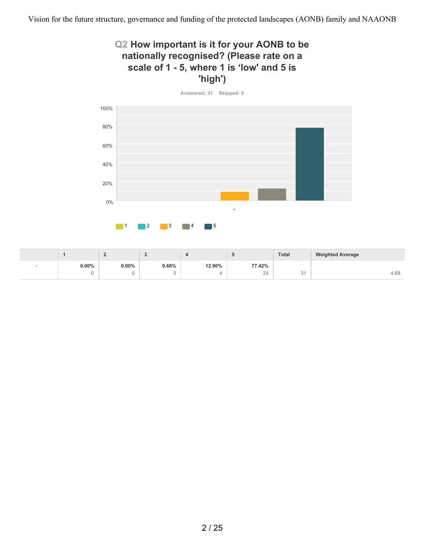### **Q2 How important is it for your AONB to be nationally recognised? (Please rate on a scale of 1 - 5, where 1 is 'low' and 5 is 'high')**



|        |          |          |        |        |                                   | <b>Total</b> | <b>Weighted Average</b> |
|--------|----------|----------|--------|--------|-----------------------------------|--------------|-------------------------|
| $\sim$ | $0.00\%$ | $0.00\%$ | 9.68%  | 12.90% | 77.42%                            |              |                         |
|        |          |          | $\sim$ |        | $\sim$ $\lambda$<br>.<br><u>_</u> | ◡            | 4.68                    |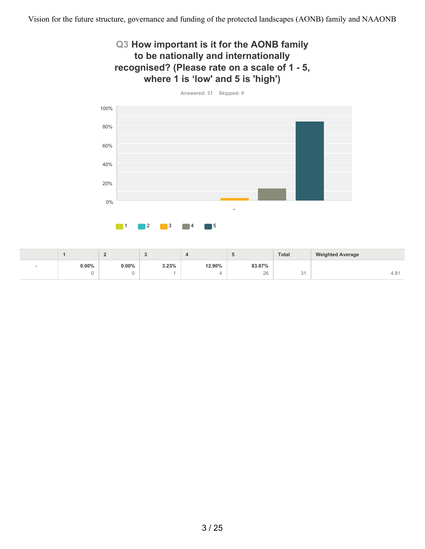### **Q3 How important is it for the AONB family to be nationally and internationally recognised? (Please rate on a scale of 1 - 5, where 1 is 'low' and 5 is 'high')**



|          |          |       |        |        | <b>Total</b>       | <b>Weighted Average</b> |
|----------|----------|-------|--------|--------|--------------------|-------------------------|
| $0.00\%$ | $0.00\%$ | 3.23% | 12.90% | 83.87% |                    |                         |
|          |          |       |        | 26     | $\sim$<br>$\cup$ . | 4.0                     |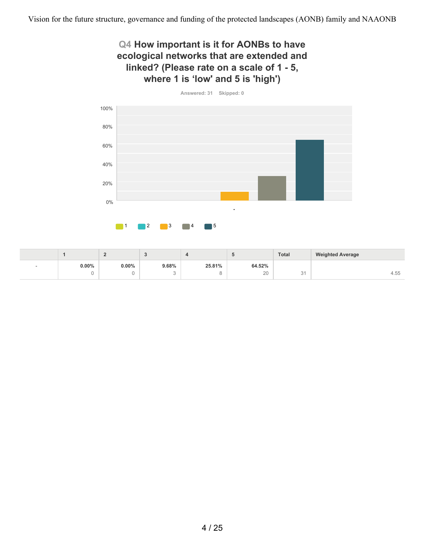### **Q4 How important is it for AONBs to have ecological networks that are extended and linked? (Please rate on a scale of 1 - 5, where 1 is 'low' and 5 is 'high')**



|          | -        |             |        |        | <b>Total</b> | <b>Weighted Average</b> |
|----------|----------|-------------|--------|--------|--------------|-------------------------|
| $0.00\%$ | $0.00\%$ | 9.68%       | 25.81% | 64.52% |              |                         |
|          |          | ⌒<br>$\sim$ |        | 20     | $\sim$<br>◡  | $- -$<br>4.55           |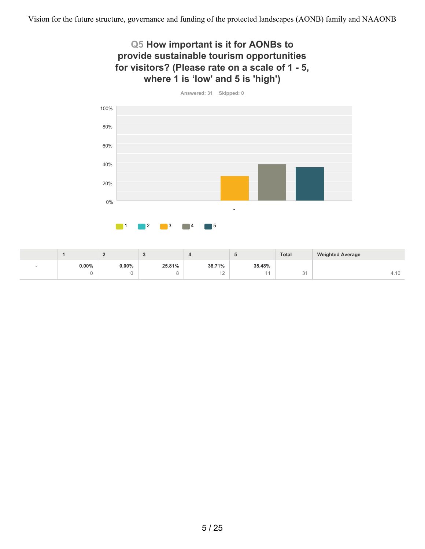### **Q5 How important is it for AONBs to provide sustainable tourism opportunities for visitors? (Please rate on a scale of 1 - 5, where 1 is 'low' and 5 is 'high')**



|          |       |        |        |        | <b>Total</b> | <b>Weighted Average</b> |
|----------|-------|--------|--------|--------|--------------|-------------------------|
| $0.00\%$ | 0.00% | 25.81% | 38.71% | 35.48% |              |                         |
|          |       |        | $-$    |        | $\sim$<br>◡  | T.IL                    |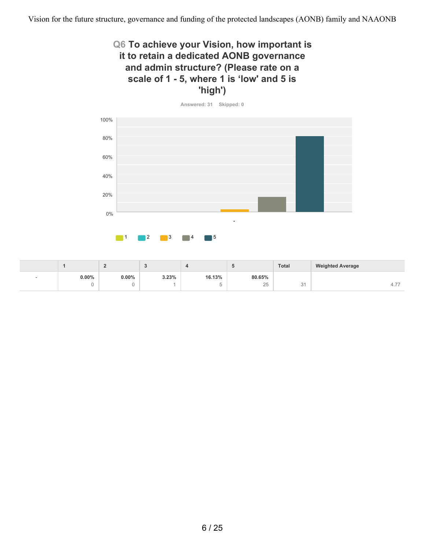### **Q6 To achieve your Vision, how important is it to retain a dedicated AONB governance and admin structure? (Please rate on a scale of 1 - 5, where 1 is 'low' and 5 is 'high')**



|   |          |          |       |        |                       | <b>Total</b> | <b>Weighted Average</b> |
|---|----------|----------|-------|--------|-----------------------|--------------|-------------------------|
| - | $0.00\%$ | $0.00\%$ | 3.23% | 16.13% | 80.65%                |              |                         |
|   |          |          |       |        | $\cap$ $\Gamma$<br>Z5 | <u>.</u>     | .                       |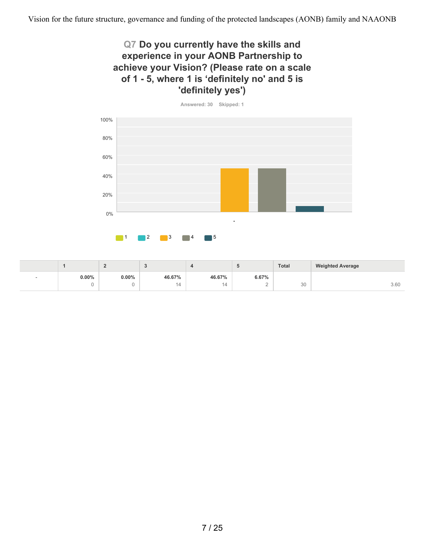### **Q7 Do you currently have the skills and experience in your AONB Partnership to achieve your Vision? (Please rate on a scale of 1 - 5, where 1 is 'definitely no' and 5 is 'definitely yes')**



**0.00%** 0 **0.00%**  $\,$   $\,$   $\,$ **46.67%** 14 **46.67%** 14 **6.67%** 2  $30$  30 3.60 **1 2 3 4 5 Total Weighted Average** -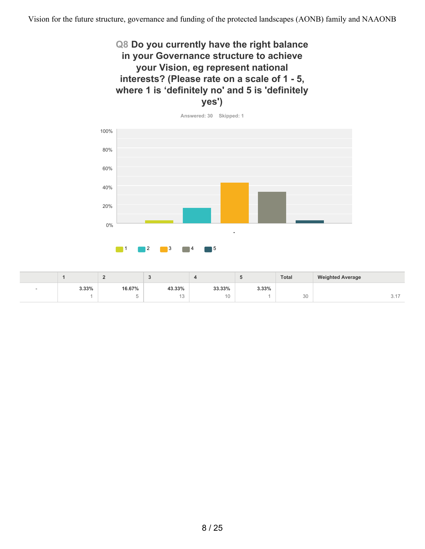### **Q8 Do you currently have the right balance in your Governance structure to achieve your Vision, eg represent national interests? (Please rate on a scale of 1 - 5, where 1 is 'definitely no' and 5 is 'definitely yes')**



|                          |       | -      |        |        |       | <b>Total</b> | <b>Weighted Average</b> |
|--------------------------|-------|--------|--------|--------|-------|--------------|-------------------------|
| $\overline{\phantom{a}}$ | 3.33% | 16.67% | 43.33% | 33.33% | 3.33% |              |                         |
|                          |       |        | IV     | 10     |       | 30           | $\cup$ . $\vdots$       |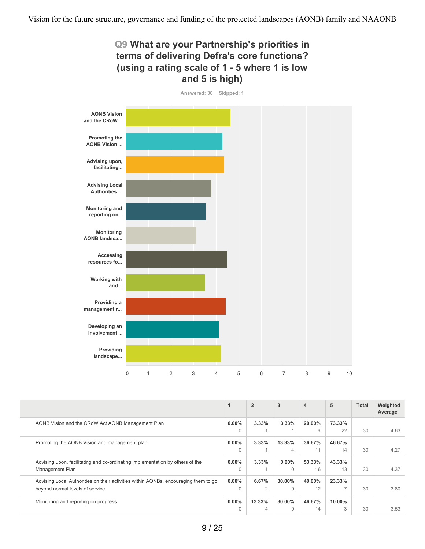

| 0 1 2 3 4 5 6 7 8 9 10 |  |  |  |  |  |  |  |  |  |  |  |  |
|------------------------|--|--|--|--|--|--|--|--|--|--|--|--|
|------------------------|--|--|--|--|--|--|--|--|--|--|--|--|

|                                                                                     |          | $\overline{2}$ | 3              | $\overline{4}$ | 5      | <b>Total</b> | Weighted<br>Average |
|-------------------------------------------------------------------------------------|----------|----------------|----------------|----------------|--------|--------------|---------------------|
| AONB Vision and the CRoW Act AONB Management Plan                                   | $0.00\%$ | 3.33%          | 3.33%          | 20.00%         | 73.33% |              |                     |
|                                                                                     | 0        |                |                | 6              | 22     | 30           | 4.63                |
| Promoting the AONB Vision and management plan                                       | $0.00\%$ | 3.33%          | 13.33%         | 36.67%         | 46.67% |              |                     |
|                                                                                     | $\Omega$ |                | $\overline{4}$ | 11             | 14     | 30           | 4.27                |
| Advising upon, facilitating and co-ordinating implementation by others of the       | $0.00\%$ | 3.33%          | $0.00\%$       | 53.33%         | 43.33% |              |                     |
| Management Plan                                                                     | $\Omega$ |                | $\Omega$       | 16             | 13     | 30           | 4.37                |
| Advising Local Authorities on their activities within AONBs, encouraging them to go | $0.00\%$ | 6.67%          | 30.00%         | 40.00%         | 23.33% |              |                     |
| beyond normal levels of service                                                     | $\Omega$ | $\mathfrak{D}$ | $\Omega$       | 12             |        | 30           | 3.80                |
| Monitoring and reporting on progress                                                | $0.00\%$ | 13.33%         | 30.00%         | 46.67%         | 10.00% |              |                     |
|                                                                                     | $\Omega$ | 4              | 9              | 14             | 3      | 30           | 3.53                |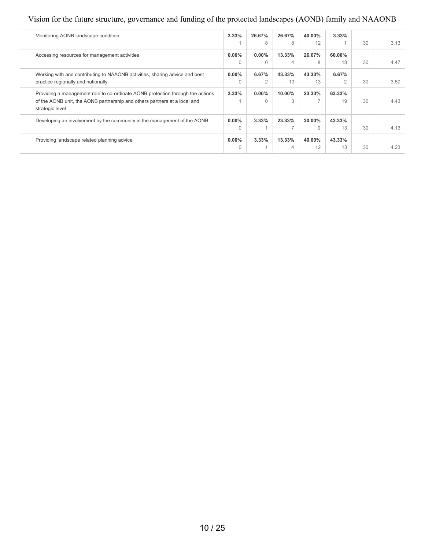### Vision for the future structure, governance and funding of the protected landscapes (AONB) family and NAAONB

| Monitoring AONB landscape condition                                                          | 3.33%    | 26.67%         | 26.67%         | 40.00% | $3.33\%$ |    |      |
|----------------------------------------------------------------------------------------------|----------|----------------|----------------|--------|----------|----|------|
|                                                                                              |          | 8              | 8              | 12     |          | 30 | 3.13 |
| Accessing resources for management activities                                                | $0.00\%$ | $0.00\%$       | 13.33%         | 26.67% | 60.00%   |    |      |
|                                                                                              | 0        | $\Omega$       | $\overline{4}$ | 8      | 18       | 30 | 4.47 |
| Working with and contributing to NAAONB activities, sharing advice and best                  | $0.00\%$ | 6.67%          | 43.33%         | 43.33% | 6.67%    |    |      |
| practice regionally and nationally                                                           | 0        | $\overline{2}$ | 13             | 13     | 2        | 30 | 3.50 |
| Providing a management role to co-ordinate AONB protection through the actions               | $3.33\%$ | $0.00\%$       | 10.00%         | 23.33% | 63.33%   |    |      |
| of the AONB unit, the AONB partnership and others partners at a local and<br>strategic level |          | $\cap$         | 3              |        | 19       | 30 | 4.43 |
| Developing an involvement by the community in the management of the AONB                     | $0.00\%$ | 3.33%          | 23.33%         | 30.00% | 43.33%   |    |      |
|                                                                                              | $\Omega$ |                |                | 9      | 13       | 30 | 4.13 |
| Providing landscape related planning advice                                                  | $0.00\%$ | 3.33%          | 13.33%         | 40.00% | 43.33%   |    |      |
|                                                                                              | 0        |                | $\overline{4}$ | 12     | 13       | 30 | 4.23 |
|                                                                                              |          |                |                |        |          |    |      |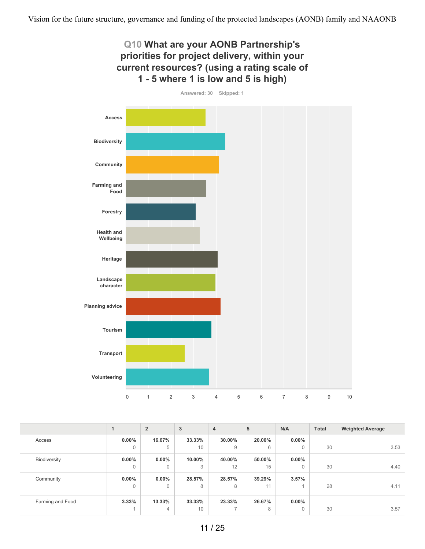

|                  |              | $\overline{2}$ | 3      | $\overline{4}$ | 5      | N/A          | <b>Total</b> | <b>Weighted Average</b> |
|------------------|--------------|----------------|--------|----------------|--------|--------------|--------------|-------------------------|
| Access           | $0.00\%$     | 16.67%         | 33.33% | 30.00%         | 20.00% | $0.00\%$     |              |                         |
|                  | $\mathbf{0}$ | 5              | 10     | 9              | 6      | $\Omega$     | 30           | 3.53                    |
| Biodiversity     | $0.00\%$     | $0.00\%$       | 10.00% | 40.00%         | 50.00% | $0.00\%$     |              |                         |
|                  | $\mathbf 0$  | 0              | 3      | 12             | 15     | $\Omega$     | 30           | 4.40                    |
| Community        | $0.00\%$     | $0.00\%$       | 28.57% | 28.57%         | 39.29% | 3.57%        |              |                         |
|                  | $\mathbf 0$  | 0              | 8      | 8              | 11     |              | 28           | 4.11                    |
| Farming and Food | 3.33%        | 13.33%         | 33.33% | 23.33%         | 26.67% | $0.00\%$     |              |                         |
|                  |              | 4              | 10     | $\overline{ }$ | 8      | $\mathbf{0}$ | 30           | 3.57                    |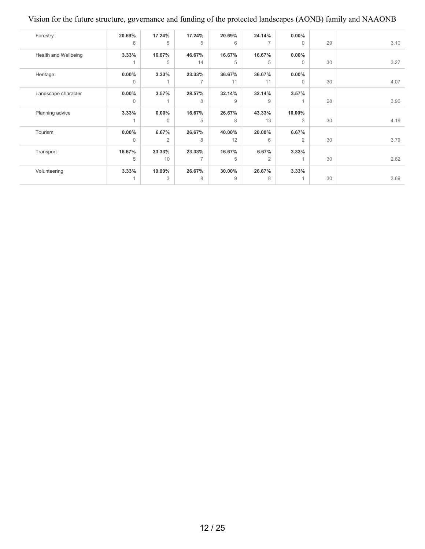### Vision for the future structure, governance and funding of the protected landscapes (AONB) family and NAAONB

| Forestry             | 20.69%       | 17.24%         | 17.24%         | 20.69% | 24.14%         | $0.00\%$       |    |      |
|----------------------|--------------|----------------|----------------|--------|----------------|----------------|----|------|
|                      | 6            | 5              | 5              | 6      | $\overline{7}$ | $\mathbf{0}$   | 29 | 3.10 |
| Health and Wellbeing | 3.33%        | 16.67%         | 46.67%         | 16.67% | 16.67%         | $0.00\%$       |    |      |
|                      |              | 5              | 14             | 5      | 5              | $\mathbf{0}$   | 30 | 3.27 |
| Heritage             | $0.00\%$     | 3.33%          | 23.33%         | 36.67% | 36.67%         | $0.00\%$       |    |      |
|                      | $\mathbf{0}$ |                | $\overline{7}$ | 11     | 11             | $\mathbf{0}$   | 30 | 4.07 |
| Landscape character  | $0.00\%$     | 3.57%          | 28.57%         | 32.14% | 32.14%         | 3.57%          |    |      |
|                      | $\mathbf{0}$ |                | 8              | 9      | 9              | $\overline{A}$ | 28 | 3.96 |
| Planning advice      | 3.33%        | $0.00\%$       | 16.67%         | 26.67% | 43.33%         | 10.00%         |    |      |
|                      |              | $\Omega$       | 5              | 8      | 13             | 3              | 30 | 4.19 |
| Tourism              | $0.00\%$     | 6.67%          | 26.67%         | 40.00% | 20.00%         | 6.67%          |    |      |
|                      | $\mathbf{0}$ | $\overline{2}$ | 8              | 12     | 6              | $\overline{2}$ | 30 | 3.79 |
| Transport            | 16.67%       | 33.33%         | 23.33%         | 16.67% | 6.67%          | 3.33%          |    |      |
|                      | 5            | 10             | $\overline{ }$ | 5      | $\overline{2}$ | $\overline{A}$ | 30 | 2.62 |
| Volunteering         | 3.33%        | 10.00%         | 26.67%         | 30.00% | 26.67%         | 3.33%          |    |      |
|                      |              | 3              | 8              | 9      | 8              |                | 30 | 3.69 |
|                      |              |                |                |        |                |                |    |      |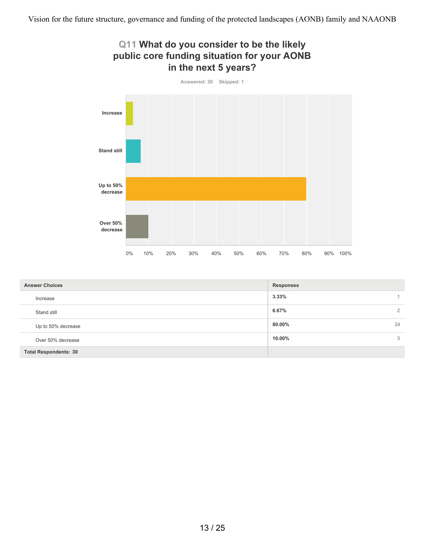

| <b>Answer Choices</b>        | <b>Responses</b> |
|------------------------------|------------------|
| Increase                     | 3.33%            |
| Stand still                  | 6.67%<br>2       |
| Up to 50% decrease           | 80.00%<br>24     |
| Over 50% decrease            | 10.00%<br>3      |
| <b>Total Respondents: 30</b> |                  |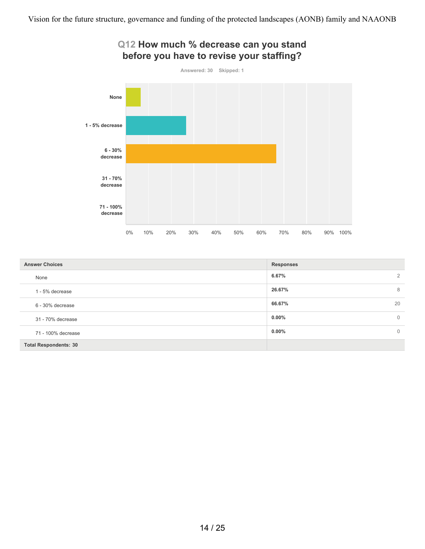

| <b>Answer Choices</b>        | <b>Responses</b>         |
|------------------------------|--------------------------|
| None                         | $\overline{2}$<br>6.67%  |
| 1 - 5% decrease              | 26.67%<br>8              |
| 6 - 30% decrease             | 20<br>66.67%             |
| 31 - 70% decrease            | $0.00\%$<br>$\mathbf{0}$ |
| 71 - 100% decrease           | $0.00\%$<br>$\Omega$     |
| <b>Total Respondents: 30</b> |                          |

#### 14 / 25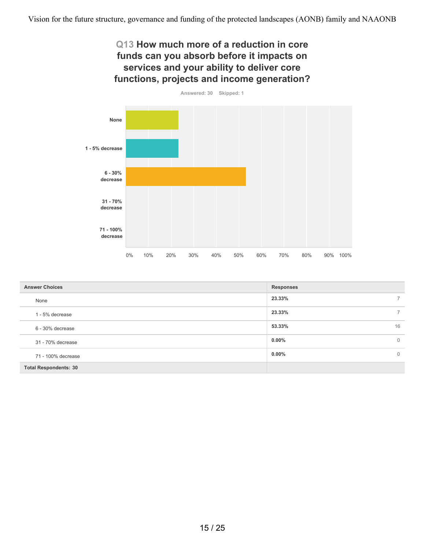### **Q13 How much more of a reduction in core funds can you absorb before it impacts on services and your ability to deliver core functions, projects and income generation?**



| <b>Answer Choices</b>        | <b>Responses</b>         |
|------------------------------|--------------------------|
| None                         | $7^{\circ}$<br>23.33%    |
| 1 - 5% decrease              | 23.33%<br>$\overline{7}$ |
| 6 - 30% decrease             | 16<br>53.33%             |
| 31 - 70% decrease            | $0.00\%$<br>$\mathbf{0}$ |
| 71 - 100% decrease           | $0.00\%$<br>$\mathbf{0}$ |
| <b>Total Respondents: 30</b> |                          |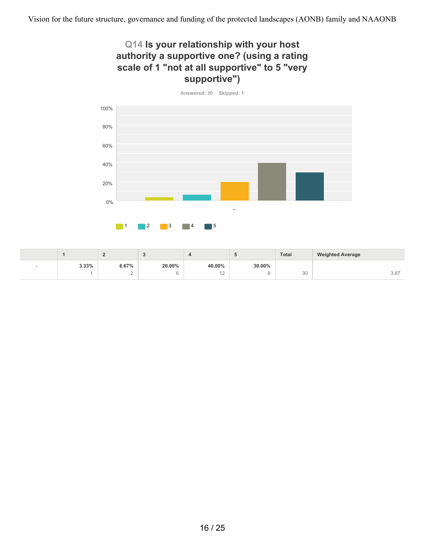### **Q14 Is your relationship with your host authority a supportive one? (using a rating scale of 1 "not at all supportive" to 5 "very supportive")**



|       |        |        |        |        | <b>Total</b> | <b>Weighted Average</b> |
|-------|--------|--------|--------|--------|--------------|-------------------------|
| 3.33% | 6.67%  | 20.00% | 40.00% | 30.00% |              |                         |
|       | $\sim$ |        | $\sim$ |        | 30           | 3.87                    |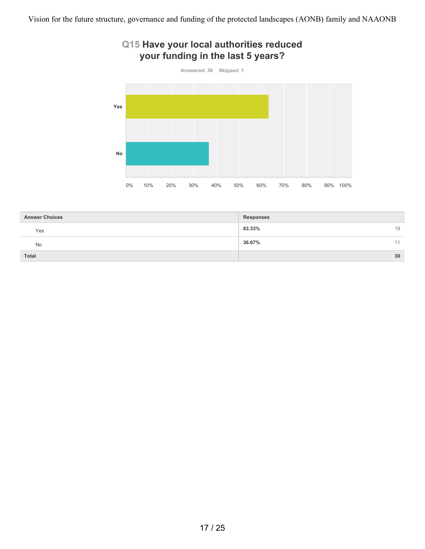### **Q15 Have your local authorities reduced your funding in the last 5 years?**



| <b>Answer Choices</b> | <b>Responses</b> |
|-----------------------|------------------|
| Yes                   | 63.33%<br>19     |
| <b>No</b>             | 36.67%<br>44     |
| <b>Total</b>          | 30               |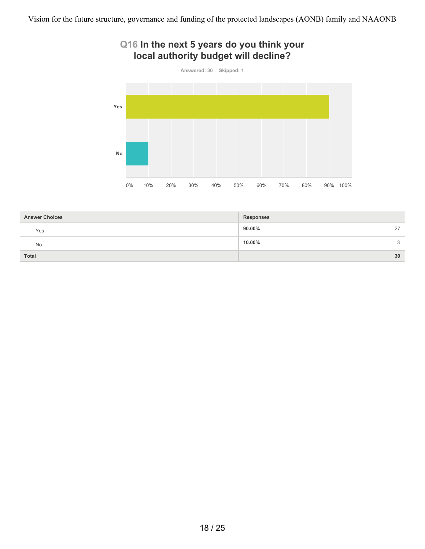### **Q16 In the next 5 years do you think your local authority budget will decline?**



| <b>Answer Choices</b> | <b>Responses</b> |               |
|-----------------------|------------------|---------------|
| Yes                   | 90.00%<br>27     |               |
| <b>No</b>             | 10.00%           | $\mathcal{L}$ |
| <b>Total</b>          | 30               |               |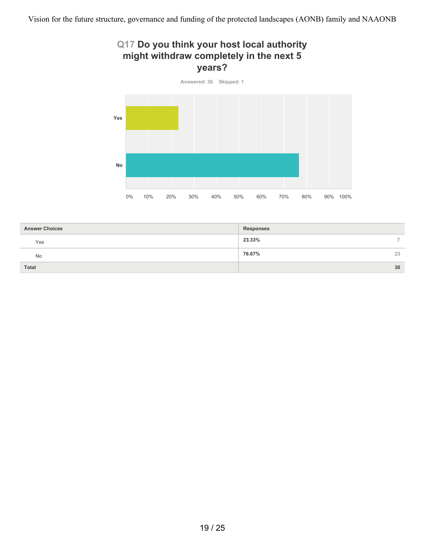# **Q17 Do you think your host local authority might withdraw completely in the next 5 years?**



| <b>Answer Choices</b> | <b>Responses</b>        |
|-----------------------|-------------------------|
| Yes                   | 23.33%<br>$\rightarrow$ |
| No                    | 76.67%<br>23            |
| <b>Total</b>          | 30                      |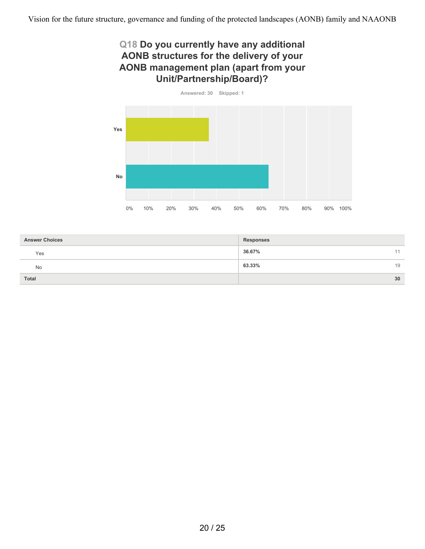### **Q18 Do you currently have any additional AONB structures for the delivery of your AONB management plan (apart from your Unit/Partnership/Board)?**



| <b>Answer Choices</b> | <b>Responses</b> |
|-----------------------|------------------|
| Yes                   | 36.67%<br>A      |
| No                    | 63.33%<br>19     |
| <b>Total</b>          | 30               |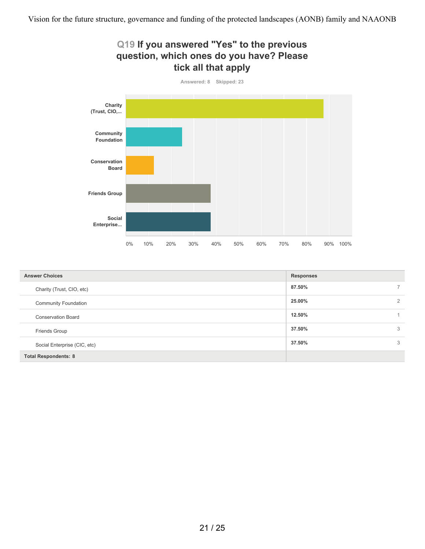

0% 10% 20% 30% 40% 50% 60% 70% 80% 90% 100%

| <b>Answer Choices</b>        | <b>Responses</b> |                          |
|------------------------------|------------------|--------------------------|
| Charity (Trust, CIO, etc)    | 87.50%           | $\overline{\phantom{a}}$ |
| <b>Community Foundation</b>  | 25.00%           | $\overline{2}$           |
| <b>Conservation Board</b>    | 12.50%           |                          |
| Friends Group                | 37.50%           | 3                        |
| Social Enterprise (CIC, etc) | 37.50%           | 3                        |
| <b>Total Respondents: 8</b>  |                  |                          |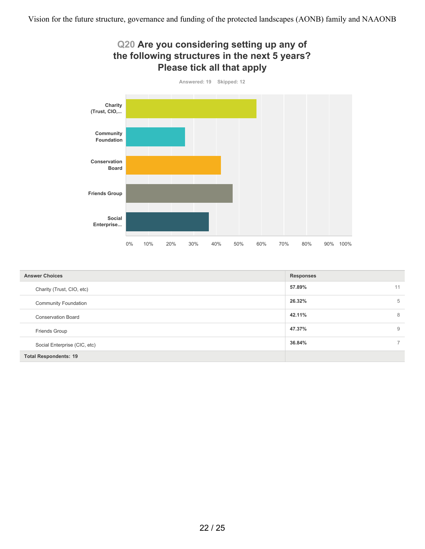

| <b>Answer Choices</b>        | <b>Responses</b> |                          |
|------------------------------|------------------|--------------------------|
| Charity (Trust, CIO, etc)    | 57.89%           | 11                       |
| <b>Community Foundation</b>  | 26.32%           | 5                        |
| <b>Conservation Board</b>    | 42.11%           | 8                        |
| Friends Group                | 47.37%           | 9                        |
| Social Enterprise (CIC, etc) | 36.84%           | $\overline{\phantom{0}}$ |
| <b>Total Respondents: 19</b> |                  |                          |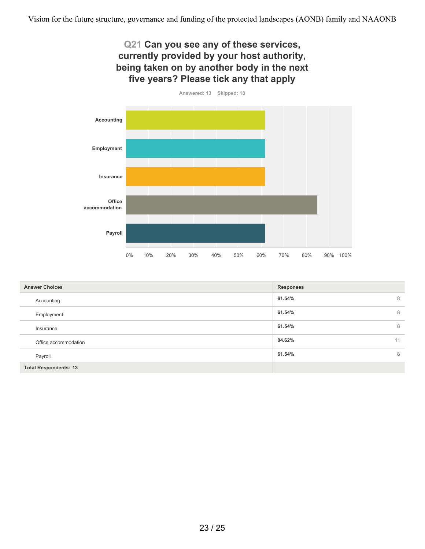# **Q21 Can you see any of these services, currently provided by your host authority, being taken on by another body in the next five years? Please tick any that apply Answered: 13 Skipped: 18**



| <b>Answer Choices</b>        | <b>Responses</b> |
|------------------------------|------------------|
| Accounting                   | 8<br>61.54%      |
| Employment                   | 61.54%<br>8      |
| Insurance                    | 8<br>61.54%      |
| Office accommodation         | 11<br>84.62%     |
| Payroll                      | 8<br>61.54%      |
| <b>Total Respondents: 13</b> |                  |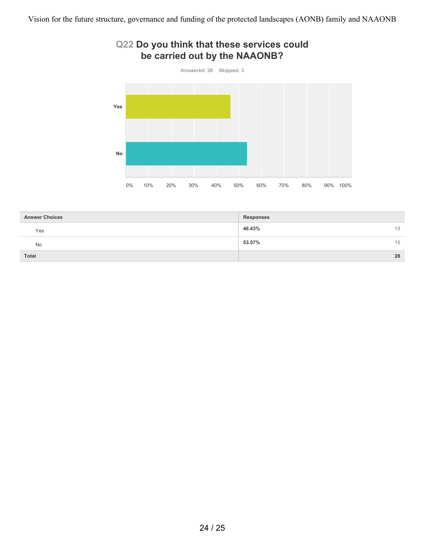### **Q22 Do you think that these services could be carried out by the NAAONB?**



| <b>Answer Choices</b> | <b>Responses</b> |  |
|-----------------------|------------------|--|
| Yes                   | 46.43%<br>13     |  |
| No                    | 53.57%<br>15     |  |
| Total                 | 28               |  |